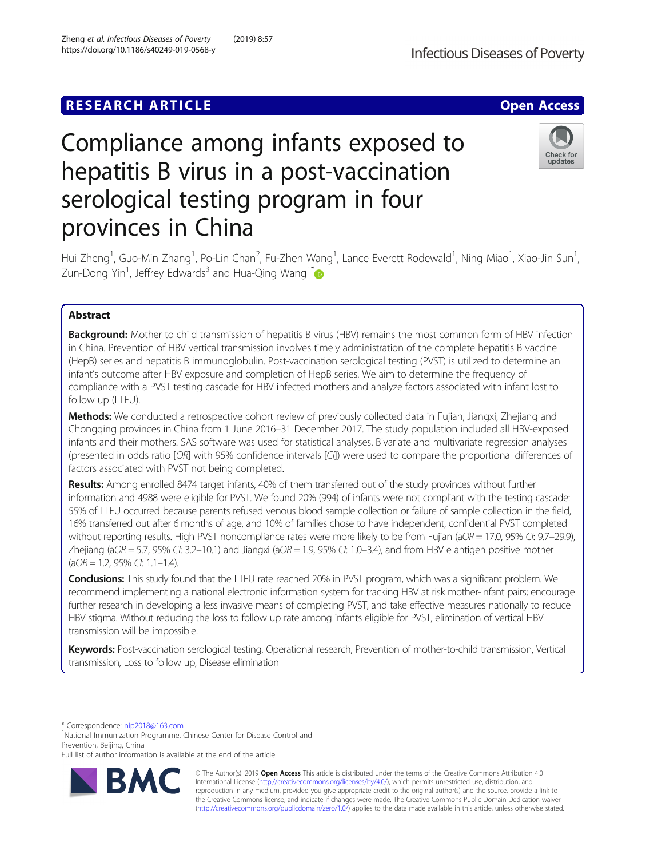# **RESEARCH ARTICLE Example 2014 12:30 The Contract of Contract ACCESS**

# Compliance among infants exposed to hepatitis B virus in a post-vaccination serological testing program in four provinces in China

Hui Zheng<sup>1</sup>, Guo-Min Zhang<sup>1</sup>, Po-Lin Chan<sup>2</sup>, Fu-Zhen Wang<sup>1</sup>, Lance Everett Rodewald<sup>1</sup>, Ning Miao<sup>1</sup>, Xiao-Jin Sun<sup>1</sup> , Zun-Dong Yin<sup>1</sup>, Jeffrey Edwards<sup>3</sup> and Hua-Qing Wang<sup>1\*</sup>

# Abstract

Background: Mother to child transmission of hepatitis B virus (HBV) remains the most common form of HBV infection in China. Prevention of HBV vertical transmission involves timely administration of the complete hepatitis B vaccine (HepB) series and hepatitis B immunoglobulin. Post-vaccination serological testing (PVST) is utilized to determine an infant's outcome after HBV exposure and completion of HepB series. We aim to determine the frequency of compliance with a PVST testing cascade for HBV infected mothers and analyze factors associated with infant lost to follow up (LTFU).

Methods: We conducted a retrospective cohort review of previously collected data in Fujian, Jiangxi, Zhejiang and Chongqing provinces in China from 1 June 2016–31 December 2017. The study population included all HBV-exposed infants and their mothers. SAS software was used for statistical analyses. Bivariate and multivariate regression analyses (presented in odds ratio [OR] with 95% confidence intervals [CI]) were used to compare the proportional differences of factors associated with PVST not being completed.

Results: Among enrolled 8474 target infants, 40% of them transferred out of the study provinces without further information and 4988 were eligible for PVST. We found 20% (994) of infants were not compliant with the testing cascade: 55% of LTFU occurred because parents refused venous blood sample collection or failure of sample collection in the field, 16% transferred out after 6 months of age, and 10% of families chose to have independent, confidential PVST completed without reporting results. High PVST noncompliance rates were more likely to be from Fujian (aOR = 17.0, 95% CI: 9.7–29.9), Zhejiang (aOR = 5.7, 95% CI: 3.2–10.1) and Jiangxi (aOR = 1.9, 95% CI: 1.0–3.4), and from HBV e antigen positive mother  $(aOR = 1.2, 95\% CI: 1.1-1.4).$ 

Conclusions: This study found that the LTFU rate reached 20% in PVST program, which was a significant problem. We recommend implementing a national electronic information system for tracking HBV at risk mother-infant pairs; encourage further research in developing a less invasive means of completing PVST, and take effective measures nationally to reduce HBV stigma. Without reducing the loss to follow up rate among infants eligible for PVST, elimination of vertical HBV transmission will be impossible.

Keywords: Post-vaccination serological testing, Operational research, Prevention of mother-to-child transmission, Vertical transmission, Loss to follow up, Disease elimination

\* Correspondence: [nip2018@163.com](mailto:nip2018@163.com) <sup>1</sup>

<sup>1</sup>National Immunization Programme, Chinese Center for Disease Control and Prevention, Beijing, China

Full list of author information is available at the end of the article

© The Author(s). 2019 **Open Access** This article is distributed under the terms of the Creative Commons Attribution 4.0 International License [\(http://creativecommons.org/licenses/by/4.0/](http://creativecommons.org/licenses/by/4.0/)), which permits unrestricted use, distribution, and reproduction in any medium, provided you give appropriate credit to the original author(s) and the source, provide a link to the Creative Commons license, and indicate if changes were made. The Creative Commons Public Domain Dedication waiver [\(http://creativecommons.org/publicdomain/zero/1.0/](http://creativecommons.org/publicdomain/zero/1.0/)) applies to the data made available in this article, unless otherwise stated.



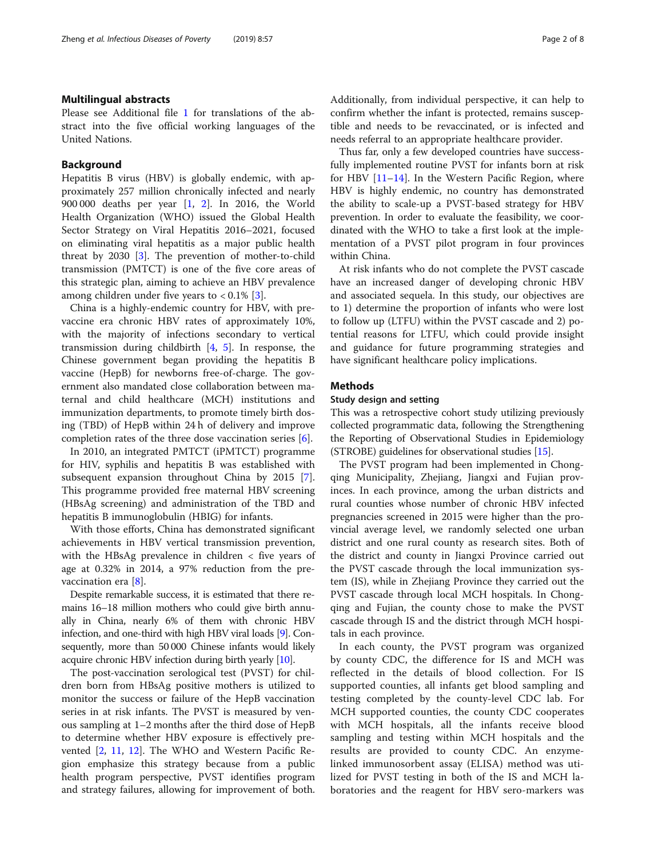# Multilingual abstracts

Please see Additional file [1](#page-6-0) for translations of the abstract into the five official working languages of the United Nations.

# Background

Hepatitis B virus (HBV) is globally endemic, with approximately 257 million chronically infected and nearly 900 000 deaths per year [\[1](#page-6-0), [2\]](#page-6-0). In 2016, the World Health Organization (WHO) issued the Global Health Sector Strategy on Viral Hepatitis 2016–2021, focused on eliminating viral hepatitis as a major public health threat by 2030 [[3\]](#page-6-0). The prevention of mother-to-child transmission (PMTCT) is one of the five core areas of this strategic plan, aiming to achieve an HBV prevalence among children under five years to  $< 0.1\%$  [\[3](#page-6-0)].

China is a highly-endemic country for HBV, with prevaccine era chronic HBV rates of approximately 10%, with the majority of infections secondary to vertical transmission during childbirth  $[4, 5]$  $[4, 5]$  $[4, 5]$  $[4, 5]$ . In response, the Chinese government began providing the hepatitis B vaccine (HepB) for newborns free-of-charge. The government also mandated close collaboration between maternal and child healthcare (MCH) institutions and immunization departments, to promote timely birth dosing (TBD) of HepB within 24 h of delivery and improve completion rates of the three dose vaccination series [\[6](#page-6-0)].

In 2010, an integrated PMTCT (iPMTCT) programme for HIV, syphilis and hepatitis B was established with subsequent expansion throughout China by 2015 [\[7](#page-6-0)]. This programme provided free maternal HBV screening (HBsAg screening) and administration of the TBD and hepatitis B immunoglobulin (HBIG) for infants.

With those efforts, China has demonstrated significant achievements in HBV vertical transmission prevention, with the HBsAg prevalence in children < five years of age at 0.32% in 2014, a 97% reduction from the pre-vaccination era [[8](#page-6-0)].

Despite remarkable success, it is estimated that there remains 16–18 million mothers who could give birth annually in China, nearly 6% of them with chronic HBV infection, and one-third with high HBV viral loads [\[9\]](#page-6-0). Consequently, more than 50 000 Chinese infants would likely acquire chronic HBV infection during birth yearly [[10](#page-6-0)].

The post-vaccination serological test (PVST) for children born from HBsAg positive mothers is utilized to monitor the success or failure of the HepB vaccination series in at risk infants. The PVST is measured by venous sampling at 1–2 months after the third dose of HepB to determine whether HBV exposure is effectively prevented [\[2](#page-6-0), [11](#page-6-0), [12](#page-7-0)]. The WHO and Western Pacific Region emphasize this strategy because from a public health program perspective, PVST identifies program and strategy failures, allowing for improvement of both. Additionally, from individual perspective, it can help to confirm whether the infant is protected, remains susceptible and needs to be revaccinated, or is infected and needs referral to an appropriate healthcare provider.

Thus far, only a few developed countries have successfully implemented routine PVST for infants born at risk for HBV [\[11](#page-6-0)–[14\]](#page-7-0). In the Western Pacific Region, where HBV is highly endemic, no country has demonstrated the ability to scale-up a PVST-based strategy for HBV prevention. In order to evaluate the feasibility, we coordinated with the WHO to take a first look at the implementation of a PVST pilot program in four provinces within China.

At risk infants who do not complete the PVST cascade have an increased danger of developing chronic HBV and associated sequela. In this study, our objectives are to 1) determine the proportion of infants who were lost to follow up (LTFU) within the PVST cascade and 2) potential reasons for LTFU, which could provide insight and guidance for future programming strategies and have significant healthcare policy implications.

## Methods

# Study design and setting

This was a retrospective cohort study utilizing previously collected programmatic data, following the Strengthening the Reporting of Observational Studies in Epidemiology (STROBE) guidelines for observational studies [[15](#page-7-0)].

The PVST program had been implemented in Chongqing Municipality, Zhejiang, Jiangxi and Fujian provinces. In each province, among the urban districts and rural counties whose number of chronic HBV infected pregnancies screened in 2015 were higher than the provincial average level, we randomly selected one urban district and one rural county as research sites. Both of the district and county in Jiangxi Province carried out the PVST cascade through the local immunization system (IS), while in Zhejiang Province they carried out the PVST cascade through local MCH hospitals. In Chongqing and Fujian, the county chose to make the PVST cascade through IS and the district through MCH hospitals in each province.

In each county, the PVST program was organized by county CDC, the difference for IS and MCH was reflected in the details of blood collection. For IS supported counties, all infants get blood sampling and testing completed by the county-level CDC lab. For MCH supported counties, the county CDC cooperates with MCH hospitals, all the infants receive blood sampling and testing within MCH hospitals and the results are provided to county CDC. An enzymelinked immunosorbent assay (ELISA) method was utilized for PVST testing in both of the IS and MCH laboratories and the reagent for HBV sero-markers was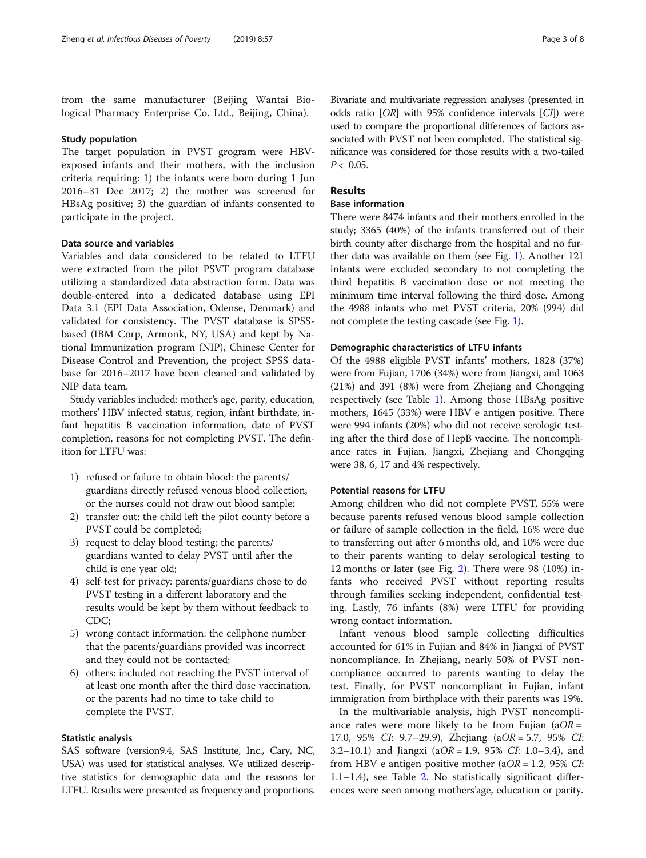from the same manufacturer (Beijing Wantai Biological Pharmacy Enterprise Co. Ltd., Beijing, China).

### Study population

The target population in PVST grogram were HBVexposed infants and their mothers, with the inclusion criteria requiring: 1) the infants were born during 1 Jun 2016–31 Dec 2017; 2) the mother was screened for HBsAg positive; 3) the guardian of infants consented to participate in the project.

# Data source and variables

Variables and data considered to be related to LTFU were extracted from the pilot PSVT program database utilizing a standardized data abstraction form. Data was double-entered into a dedicated database using EPI Data 3.1 (EPI Data Association, Odense, Denmark) and validated for consistency. The PVST database is SPSSbased (IBM Corp, Armonk, NY, USA) and kept by National Immunization program (NIP), Chinese Center for Disease Control and Prevention, the project SPSS database for 2016–2017 have been cleaned and validated by NIP data team.

Study variables included: mother's age, parity, education, mothers' HBV infected status, region, infant birthdate, infant hepatitis B vaccination information, date of PVST completion, reasons for not completing PVST. The definition for LTFU was:

- 1) refused or failure to obtain blood: the parents/ guardians directly refused venous blood collection, or the nurses could not draw out blood sample;
- 2) transfer out: the child left the pilot county before a PVST could be completed;
- 3) request to delay blood testing; the parents/ guardians wanted to delay PVST until after the child is one year old;
- 4) self-test for privacy: parents/guardians chose to do PVST testing in a different laboratory and the results would be kept by them without feedback to CDC;
- 5) wrong contact information: the cellphone number that the parents/guardians provided was incorrect and they could not be contacted;
- 6) others: included not reaching the PVST interval of at least one month after the third dose vaccination, or the parents had no time to take child to complete the PVST.

# Statistic analysis

SAS software (version9.4, SAS Institute, Inc., Cary, NC, USA) was used for statistical analyses. We utilized descriptive statistics for demographic data and the reasons for LTFU. Results were presented as frequency and proportions.

Bivariate and multivariate regression analyses (presented in odds ratio [OR] with 95% confidence intervals [CI]) were used to compare the proportional differences of factors associated with PVST not been completed. The statistical significance was considered for those results with a two-tailed  $P < 0.05$ .

# Results

# Base information

There were 8474 infants and their mothers enrolled in the study; 3365 (40%) of the infants transferred out of their birth county after discharge from the hospital and no further data was available on them (see Fig. [1\)](#page-3-0). Another 121 infants were excluded secondary to not completing the third hepatitis B vaccination dose or not meeting the minimum time interval following the third dose. Among the 4988 infants who met PVST criteria, 20% (994) did not complete the testing cascade (see Fig. [1](#page-3-0)).

### Demographic characteristics of LTFU infants

Of the 4988 eligible PVST infants' mothers, 1828 (37%) were from Fujian, 1706 (34%) were from Jiangxi, and 1063 (21%) and 391 (8%) were from Zhejiang and Chongqing respectively (see Table [1\)](#page-4-0). Among those HBsAg positive mothers, 1645 (33%) were HBV e antigen positive. There were 994 infants (20%) who did not receive serologic testing after the third dose of HepB vaccine. The noncompliance rates in Fujian, Jiangxi, Zhejiang and Chongqing were 38, 6, 17 and 4% respectively.

# Potential reasons for LTFU

Among children who did not complete PVST, 55% were because parents refused venous blood sample collection or failure of sample collection in the field, 16% were due to transferring out after 6 months old, and 10% were due to their parents wanting to delay serological testing to 12 months or later (see Fig. [2](#page-4-0)). There were 98 (10%) infants who received PVST without reporting results through families seeking independent, confidential testing. Lastly, 76 infants (8%) were LTFU for providing wrong contact information.

Infant venous blood sample collecting difficulties accounted for 61% in Fujian and 84% in Jiangxi of PVST noncompliance. In Zhejiang, nearly 50% of PVST noncompliance occurred to parents wanting to delay the test. Finally, for PVST noncompliant in Fujian, infant immigration from birthplace with their parents was 19%.

In the multivariable analysis, high PVST noncompliance rates were more likely to be from Fujian ( $aOR =$ 17.0, 95% CI: 9.7–29.9), Zhejiang (aOR = 5.7, 95% CI: 3.2–10.1) and Jiangxi (aOR = 1.9, 95% CI: 1.0–3.4), and from HBV e antigen positive mother ( $aOR = 1.2$ , 95% *CI*: 1.1–1.4), see Table [2](#page-5-0). No statistically significant differences were seen among mothers'age, education or parity.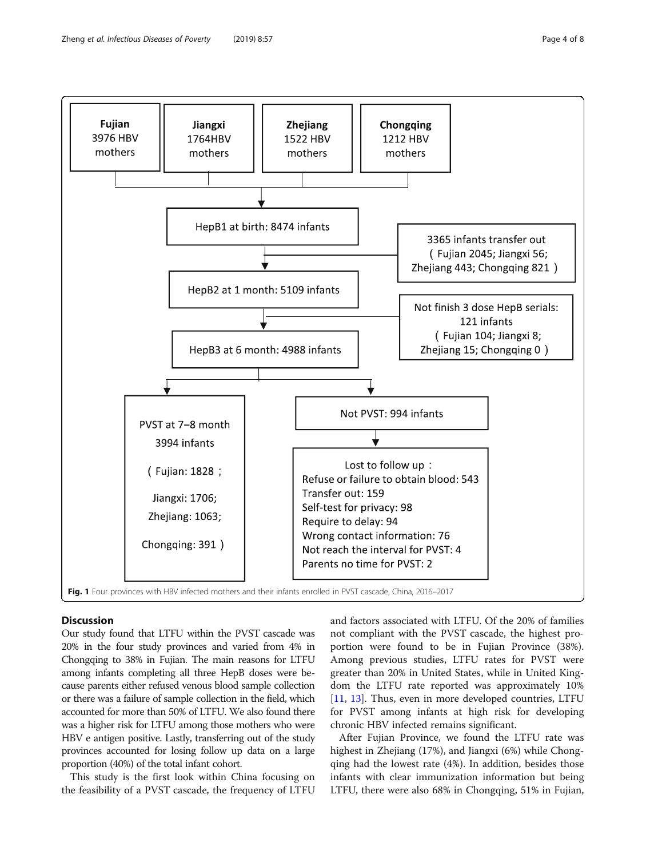<span id="page-3-0"></span>

# **Discussion**

Our study found that LTFU within the PVST cascade was 20% in the four study provinces and varied from 4% in Chongqing to 38% in Fujian. The main reasons for LTFU among infants completing all three HepB doses were because parents either refused venous blood sample collection or there was a failure of sample collection in the field, which accounted for more than 50% of LTFU. We also found there was a higher risk for LTFU among those mothers who were HBV e antigen positive. Lastly, transferring out of the study provinces accounted for losing follow up data on a large proportion (40%) of the total infant cohort.

This study is the first look within China focusing on the feasibility of a PVST cascade, the frequency of LTFU and factors associated with LTFU. Of the 20% of families not compliant with the PVST cascade, the highest proportion were found to be in Fujian Province (38%). Among previous studies, LTFU rates for PVST were greater than 20% in United States, while in United Kingdom the LTFU rate reported was approximately 10% [[11,](#page-6-0) [13](#page-7-0)]. Thus, even in more developed countries, LTFU for PVST among infants at high risk for developing chronic HBV infected remains significant.

After Fujian Province, we found the LTFU rate was highest in Zhejiang (17%), and Jiangxi (6%) while Chongqing had the lowest rate (4%). In addition, besides those infants with clear immunization information but being LTFU, there were also 68% in Chongqing, 51% in Fujian,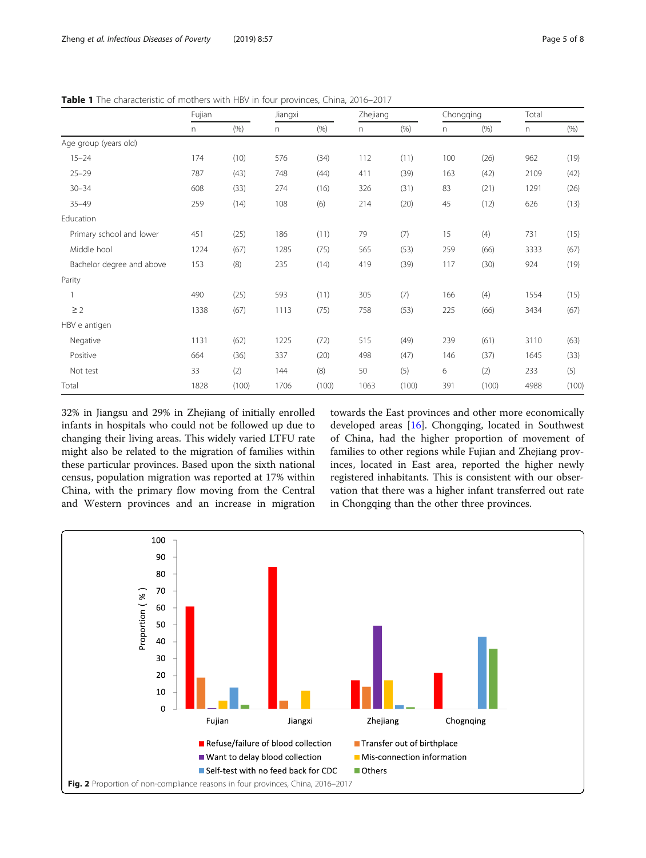| Page 5 |
|--------|
|        |

|                           | Fujian |       | Jiangxi |       | Zhejiang |       | Chongqing |       | Total |       |
|---------------------------|--------|-------|---------|-------|----------|-------|-----------|-------|-------|-------|
|                           | n.     | (% )  | n       | (% )  | n.       | (% )  | n         | (% )  | n     | (% )  |
| Age group (years old)     |        |       |         |       |          |       |           |       |       |       |
| $15 - 24$                 | 174    | (10)  | 576     | (34)  | 112      | (11)  | 100       | (26)  | 962   | (19)  |
| $25 - 29$                 | 787    | (43)  | 748     | (44)  | 411      | (39)  | 163       | (42)  | 2109  | (42)  |
| $30 - 34$                 | 608    | (33)  | 274     | (16)  | 326      | (31)  | 83        | (21)  | 1291  | (26)  |
| $35 - 49$                 | 259    | (14)  | 108     | (6)   | 214      | (20)  | 45        | (12)  | 626   | (13)  |
| Education                 |        |       |         |       |          |       |           |       |       |       |
| Primary school and lower  | 451    | (25)  | 186     | (11)  | 79       | (7)   | 15        | (4)   | 731   | (15)  |
| Middle hool               | 1224   | (67)  | 1285    | (75)  | 565      | (53)  | 259       | (66)  | 3333  | (67)  |
| Bachelor degree and above | 153    | (8)   | 235     | (14)  | 419      | (39)  | 117       | (30)  | 924   | (19)  |
| Parity                    |        |       |         |       |          |       |           |       |       |       |
|                           | 490    | (25)  | 593     | (11)  | 305      | (7)   | 166       | (4)   | 1554  | (15)  |
| $\geq$ 2                  | 1338   | (67)  | 1113    | (75)  | 758      | (53)  | 225       | (66)  | 3434  | (67)  |
| HBV e antigen             |        |       |         |       |          |       |           |       |       |       |
| Negative                  | 1131   | (62)  | 1225    | (72)  | 515      | (49)  | 239       | (61)  | 3110  | (63)  |
| Positive                  | 664    | (36)  | 337     | (20)  | 498      | (47)  | 146       | (37)  | 1645  | (33)  |
| Not test                  | 33     | (2)   | 144     | (8)   | 50       | (5)   | 6         | (2)   | 233   | (5)   |
| Total                     | 1828   | (100) | 1706    | (100) | 1063     | (100) | 391       | (100) | 4988  | (100) |

<span id="page-4-0"></span>Table 1 The characteristic of mothers with HBV in four provinces, China, 2016-2017

32% in Jiangsu and 29% in Zhejiang of initially enrolled infants in hospitals who could not be followed up due to changing their living areas. This widely varied LTFU rate might also be related to the migration of families within these particular provinces. Based upon the sixth national census, population migration was reported at 17% within China, with the primary flow moving from the Central and Western provinces and an increase in migration towards the East provinces and other more economically developed areas [[16\]](#page-7-0). Chongqing, located in Southwest of China, had the higher proportion of movement of families to other regions while Fujian and Zhejiang provinces, located in East area, reported the higher newly registered inhabitants. This is consistent with our observation that there was a higher infant transferred out rate in Chongqing than the other three provinces.

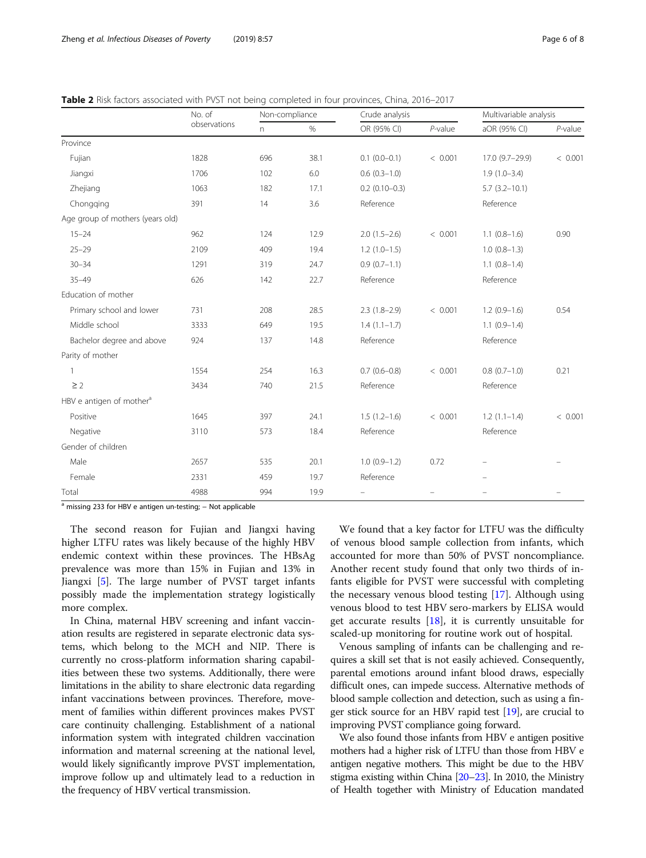<span id="page-5-0"></span>Table 2 Risk factors associated with PVST not being completed in four provinces, China, 2016–2017

|                                      | No. of<br>observations | Non-compliance |      | Crude analysis  |            | Multivariable analysis |            |  |
|--------------------------------------|------------------------|----------------|------|-----------------|------------|------------------------|------------|--|
|                                      |                        | n.             | $\%$ | OR (95% CI)     | $P$ -value | aOR (95% CI)           | $P$ -value |  |
| Province                             |                        |                |      |                 |            |                        |            |  |
| Fujian                               | 1828                   | 696            | 38.1 | $0.1(0.0-0.1)$  | < 0.001    | 17.0 (9.7-29.9)        | < 0.001    |  |
| Jiangxi                              | 1706                   | 102            | 6.0  | $0.6(0.3-1.0)$  |            | $1.9(1.0-3.4)$         |            |  |
| Zhejiang                             | 1063                   | 182            | 17.1 | $0.2(0.10-0.3)$ |            | $5.7(3.2 - 10.1)$      |            |  |
| Chongging                            | 391                    | 14             | 3.6  | Reference       |            | Reference              |            |  |
| Age group of mothers (years old)     |                        |                |      |                 |            |                        |            |  |
| $15 - 24$                            | 962                    | 124            | 12.9 | $2.0(1.5-2.6)$  | < 0.001    | $1.1(0.8-1.6)$         | 0.90       |  |
| $25 - 29$                            | 2109                   | 409            | 19.4 | $1.2(1.0-1.5)$  |            | $1.0(0.8-1.3)$         |            |  |
| $30 - 34$                            | 1291                   | 319            | 24.7 | $0.9(0.7-1.1)$  |            | $1.1(0.8-1.4)$         |            |  |
| $35 - 49$                            | 626                    | 142            | 22.7 | Reference       |            | Reference              |            |  |
| Education of mother                  |                        |                |      |                 |            |                        |            |  |
| Primary school and lower             | 731                    | 208            | 28.5 | $2.3(1.8-2.9)$  | < 0.001    | $1.2(0.9-1.6)$         | 0.54       |  |
| Middle school                        | 3333                   | 649            | 19.5 | $1.4(1.1-1.7)$  |            | $1.1(0.9-1.4)$         |            |  |
| Bachelor degree and above            | 924                    | 137            | 14.8 | Reference       |            | Reference              |            |  |
| Parity of mother                     |                        |                |      |                 |            |                        |            |  |
| 1                                    | 1554                   | 254            | 16.3 | $0.7(0.6-0.8)$  | < 0.001    | $0.8(0.7-1.0)$         | 0.21       |  |
| $\geq$ 2                             | 3434                   | 740            | 21.5 | Reference       |            | Reference              |            |  |
| HBV e antigen of mother <sup>a</sup> |                        |                |      |                 |            |                        |            |  |
| Positive                             | 1645                   | 397            | 24.1 | $1.5(1.2-1.6)$  | < 0.001    | $1.2(1.1-1.4)$         | < 0.001    |  |
| Negative                             | 3110                   | 573            | 18.4 | Reference       |            | Reference              |            |  |
| Gender of children                   |                        |                |      |                 |            |                        |            |  |
| Male                                 | 2657                   | 535            | 20.1 | $1.0(0.9-1.2)$  | 0.72       |                        |            |  |
| Female                               | 2331                   | 459            | 19.7 | Reference       |            |                        |            |  |
| Total                                | 4988                   | 994            | 19.9 | $\equiv$        |            |                        |            |  |

<sup>a</sup> missing 233 for HBV e antigen un-testing; – Not applicable

The second reason for Fujian and Jiangxi having higher LTFU rates was likely because of the highly HBV endemic context within these provinces. The HBsAg prevalence was more than 15% in Fujian and 13% in Jiangxi [[5\]](#page-6-0). The large number of PVST target infants possibly made the implementation strategy logistically more complex.

In China, maternal HBV screening and infant vaccination results are registered in separate electronic data systems, which belong to the MCH and NIP. There is currently no cross-platform information sharing capabilities between these two systems. Additionally, there were limitations in the ability to share electronic data regarding infant vaccinations between provinces. Therefore, movement of families within different provinces makes PVST care continuity challenging. Establishment of a national information system with integrated children vaccination information and maternal screening at the national level, would likely significantly improve PVST implementation, improve follow up and ultimately lead to a reduction in the frequency of HBV vertical transmission.

We found that a key factor for LTFU was the difficulty of venous blood sample collection from infants, which accounted for more than 50% of PVST noncompliance. Another recent study found that only two thirds of infants eligible for PVST were successful with completing the necessary venous blood testing [\[17\]](#page-7-0). Although using venous blood to test HBV sero-markers by ELISA would get accurate results  $[18]$  $[18]$ , it is currently unsuitable for scaled-up monitoring for routine work out of hospital.

Venous sampling of infants can be challenging and requires a skill set that is not easily achieved. Consequently, parental emotions around infant blood draws, especially difficult ones, can impede success. Alternative methods of blood sample collection and detection, such as using a finger stick source for an HBV rapid test [[19](#page-7-0)], are crucial to improving PVST compliance going forward.

We also found those infants from HBV e antigen positive mothers had a higher risk of LTFU than those from HBV e antigen negative mothers. This might be due to the HBV stigma existing within China [[20](#page-7-0)–[23](#page-7-0)]. In 2010, the Ministry of Health together with Ministry of Education mandated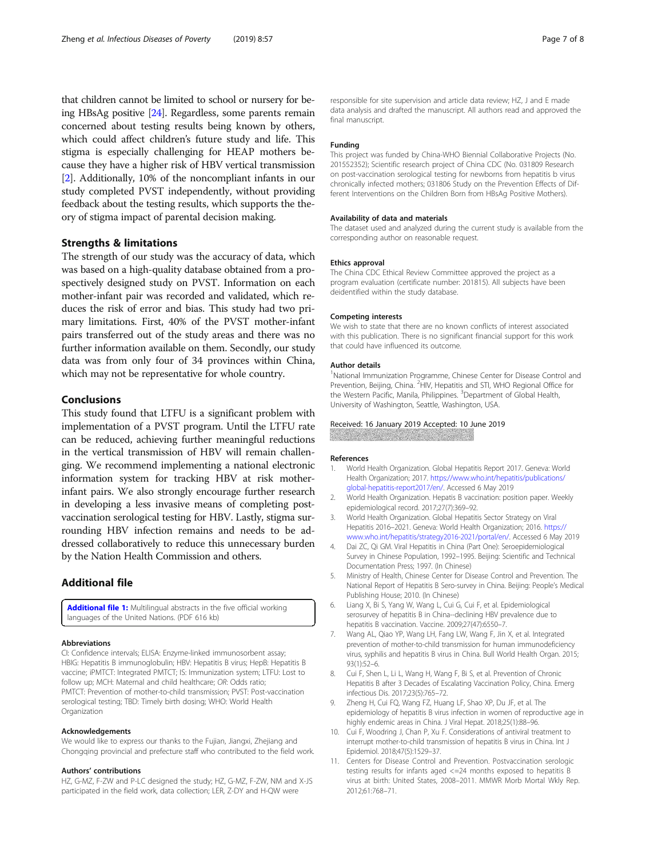<span id="page-6-0"></span>that children cannot be limited to school or nursery for being HBsAg positive [[24\]](#page-7-0). Regardless, some parents remain concerned about testing results being known by others, which could affect children's future study and life. This stigma is especially challenging for HEAP mothers because they have a higher risk of HBV vertical transmission [2]. Additionally, 10% of the noncompliant infants in our study completed PVST independently, without providing feedback about the testing results, which supports the theory of stigma impact of parental decision making.

# Strengths & limitations

The strength of our study was the accuracy of data, which was based on a high-quality database obtained from a prospectively designed study on PVST. Information on each mother-infant pair was recorded and validated, which reduces the risk of error and bias. This study had two primary limitations. First, 40% of the PVST mother-infant pairs transferred out of the study areas and there was no further information available on them. Secondly, our study data was from only four of 34 provinces within China, which may not be representative for whole country.

# Conclusions

This study found that LTFU is a significant problem with implementation of a PVST program. Until the LTFU rate can be reduced, achieving further meaningful reductions in the vertical transmission of HBV will remain challenging. We recommend implementing a national electronic information system for tracking HBV at risk motherinfant pairs. We also strongly encourage further research in developing a less invasive means of completing postvaccination serological testing for HBV. Lastly, stigma surrounding HBV infection remains and needs to be addressed collaboratively to reduce this unnecessary burden by the Nation Health Commission and others.

# Additional file

[Additional file 1:](https://doi.org/10.1186/s40249-019-0568-y) Multilingual abstracts in the five official working languages of the United Nations. (PDF 616 kb)

### Abbreviations

CI: Confidence intervals; ELISA: Enzyme-linked immunosorbent assay; HBIG: Hepatitis B immunoglobulin; HBV: Hepatitis B virus; HepB: Hepatitis B vaccine; iPMTCT: Integrated PMTCT; IS: Immunization system; LTFU: Lost to follow up; MCH: Maternal and child healthcare; OR: Odds ratio; PMTCT: Prevention of mother-to-child transmission; PVST: Post-vaccination serological testing; TBD: Timely birth dosing; WHO: World Health Organization

#### Acknowledgements

We would like to express our thanks to the Fujian, Jiangxi, Zhejiang and Chongqing provincial and prefecture staff who contributed to the field work.

#### Authors' contributions

HZ, G-MZ, F-ZW and P-LC designed the study; HZ, G-MZ, F-ZW, NM and X-JS participated in the field work, data collection; LER, Z-DY and H-QW were

responsible for site supervision and article data review; HZ, J and E made data analysis and drafted the manuscript. All authors read and approved the final manuscript.

#### Funding

This project was funded by China-WHO Biennial Collaborative Projects (No. 201552352); Scientific research project of China CDC (No. 031809 Research on post-vaccination serological testing for newborns from hepatitis b virus chronically infected mothers; 031806 Study on the Prevention Effects of Different Interventions on the Children Born from HBsAg Positive Mothers).

#### Availability of data and materials

The dataset used and analyzed during the current study is available from the corresponding author on reasonable request.

#### Ethics approval

The China CDC Ethical Review Committee approved the project as a program evaluation (certificate number: 201815). All subjects have been deidentified within the study database.

#### Competing interests

We wish to state that there are no known conflicts of interest associated with this publication. There is no significant financial support for this work that could have influenced its outcome.

#### Author details

<sup>1</sup>National Immunization Programme, Chinese Center for Disease Control and Prevention, Beijing, China. <sup>2</sup>HIV, Hepatitis and STI, WHO Regional Office for the Western Pacific, Manila, Philippines. <sup>3</sup>Department of Global Health University of Washington, Seattle, Washington, USA.

#### Received: 16 January 2019 Accepted: 10 June 2019

**A REAL AND A REAL PROPERTY AND A REAL PROPERTY** 

#### References

- 1. World Health Organization. Global Hepatitis Report 2017. Geneva: World Health Organization; 2017. [https://www.who.int/hepatitis/publications/](https://www.who.int/hepatitis/publications/global-hepatitis-report2017/en/) [global-hepatitis-report2017/en/.](https://www.who.int/hepatitis/publications/global-hepatitis-report2017/en/) Accessed 6 May 2019
- 2. World Health Organization. Hepatis B vaccination: position paper. Weekly epidemiological record. 2017;27(7):369–92.
- 3. World Health Organization. Global Hepatitis Sector Strategy on Viral Hepatitis 2016–2021. Geneva: World Health Organization; 2016. [https://](https://www.who.int/hepatitis/strategy2016-2021/portal/en/) [www.who.int/hepatitis/strategy2016-2021/portal/en/.](https://www.who.int/hepatitis/strategy2016-2021/portal/en/) Accessed 6 May 2019
- 4. Dai ZC, Qi GM. Viral Hepatitis in China (Part One): Seroepidemiological Survey in Chinese Population, 1992–1995. Beijing: Scientific and Technical Documentation Press; 1997. (In Chinese)
- 5. Ministry of Health, Chinese Center for Disease Control and Prevention. The National Report of Hepatitis B Sero-survey in China. Beijing: People's Medical Publishing House; 2010. (In Chinese)
- 6. Liang X, Bi S, Yang W, Wang L, Cui G, Cui F, et al. Epidemiological serosurvey of hepatitis B in China--declining HBV prevalence due to hepatitis B vaccination. Vaccine. 2009;27(47):6550–7.
- 7. Wang AL, Qiao YP, Wang LH, Fang LW, Wang F, Jin X, et al. Integrated prevention of mother-to-child transmission for human immunodeficiency virus, syphilis and hepatitis B virus in China. Bull World Health Organ. 2015; 93(1):52–6.
- 8. Cui F, Shen L, Li L, Wang H, Wang F, Bi S, et al. Prevention of Chronic Hepatitis B after 3 Decades of Escalating Vaccination Policy, China. Emerg infectious Dis. 2017;23(5):765–72.
- Zheng H, Cui FQ, Wang FZ, Huang LF, Shao XP, Du JF, et al. The epidemiology of hepatitis B virus infection in women of reproductive age in highly endemic areas in China. J Viral Hepat. 2018;25(1):88–96.
- 10. Cui F, Woodring J, Chan P, Xu F. Considerations of antiviral treatment to interrupt mother-to-child transmission of hepatitis B virus in China. Int J Epidemiol. 2018;47(5):1529–37.
- 11. Centers for Disease Control and Prevention. Postvaccination serologic testing results for infants aged <=24 months exposed to hepatitis B virus at birth: United States, 2008–2011. MMWR Morb Mortal Wkly Rep. 2012;61:768–71.